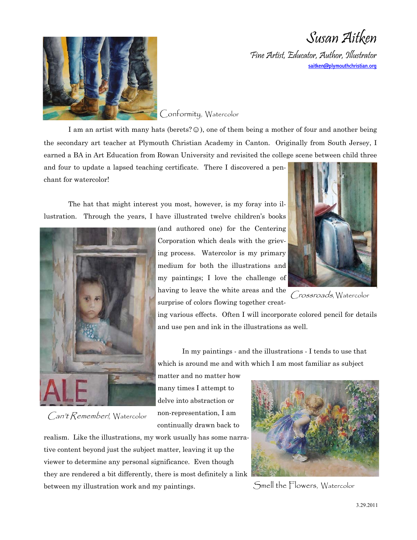Susan Aitken

Fine Artist, Educator, Author, Illustrator saitken@plymouthchristian.org



Conformity, Watercolor

I am an artist with many hats (berets?  $\odot$ ), one of them being a mother of four and another being the secondary art teacher at Plymouth Christian Academy in Canton. Originally from South Jersey, I earned a BA in Art Education from Rowan University and revisited the college scene between child three

and four to update a lapsed teaching certificate. There I discovered a penchant for watercolor!

The hat that might interest you most, however, is my foray into illustration. Through the years, I have illustrated twelve children's books



Can't Remember!, Watercolor

(and authored one) for the Centering Corporation which deals with the grieving process. Watercolor is my primary medium for both the illustrations and my paintings; I love the challenge of having to leave the white areas and the surprise of colors flowing together creat-



Crossroads, Watercolor

ing various effects. Often I will incorporate colored pencil for details and use pen and ink in the illustrations as well.

 In my paintings - and the illustrations - I tends to use that which is around me and with which I am most familiar as subject

matter and no matter how many times I attempt to delve into abstraction or non-representation, I am continually drawn back to





Smell the Flowers, Watercolor